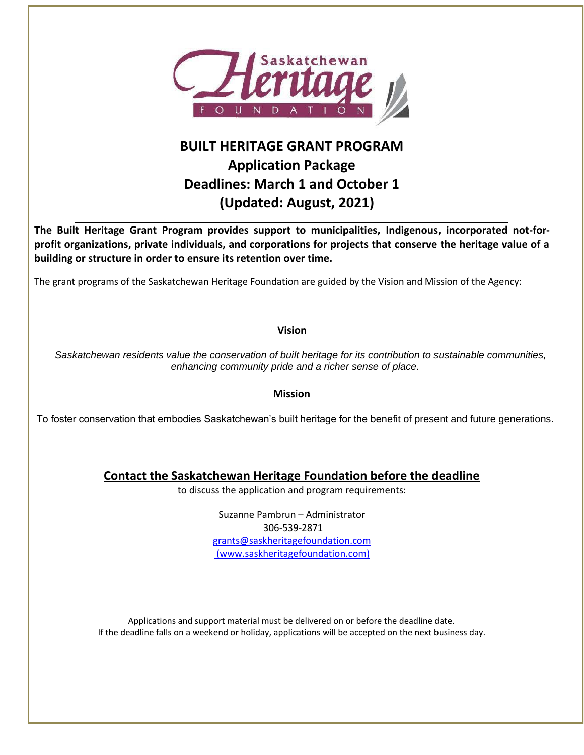

# **BUILT HERITAGE GRANT PROGRAM Application Package Deadlines: March 1 and October 1 (Updated: August, 2021)**

**The Built Heritage Grant Program provides support to municipalities, Indigenous, incorporated not-forprofit organizations, private individuals, and corporations for projects that conserve the heritage value of a building or structure in order to ensure its retention over time.**

The grant programs of the Saskatchewan Heritage Foundation are guided by the Vision and Mission of the Agency:

**Vision**

 *Saskatchewan residents value the conservation of built heritage for its contribution to sustainable communities, enhancing community pride and a richer sense of place.*

**Mission**

To foster conservation that embodies Saskatchewan's built heritage for the benefit of present and future generations.

**Contact the Saskatchewan Heritage Foundation before the deadline**

to discuss the application and program requirements:

Suzanne Pambrun – Administrator 306-539-2871 [grants@saskheritagefoundation.com](mailto:grants@saskheritagefoundation.com) (www.saskheritagefoundation.com)

Applications and support material must be delivered on or before the deadline date. If the deadline falls on a weekend or holiday, applications will be accepted on the next business day.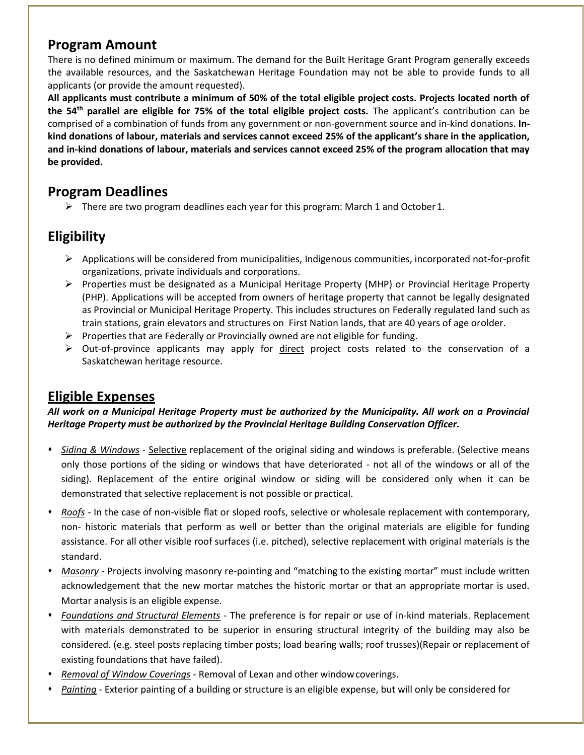### **Program Amount**

There is no defined minimum or maximum. The demand for the Built Heritage Grant Program generally exceeds the available resources, and the Saskatchewan Heritage Foundation may not be able to provide funds to all applicants (or provide the amount requested).

**All applicants must contribute a minimum of 50% of the total eligible project costs. Projects located north of the 54th parallel are eligible for 75% of the total eligible project costs.** The applicant's contribution can be comprised of a combination of funds from any government or non-government source and in-kind donations. **Inkind donations of labour, materials and services cannot exceed 25% of the applicant's share in the application, and in-kind donations of labour, materials and services cannot exceed 25% of the program allocation that may be provided.**

# **Program Deadlines**

 $\triangleright$  There are two program deadlines each year for this program: March 1 and October 1.

# **Eligibility**

- $\triangleright$  Applications will be considered from municipalities, Indigenous communities, incorporated not-for-profit organizations, private individuals and corporations.
- ➢ Properties must be designated as a Municipal Heritage Property (MHP) or Provincial Heritage Property (PHP). Applications will be accepted from owners of heritage property that cannot be legally designated as Provincial or Municipal Heritage Property. This includes structures on Federally regulated land such as train stations, grain elevators and structures on First Nation lands, that are 40 years of age orolder.
- $\triangleright$  Properties that are Federally or Provincially owned are not eligible for funding.
- $\triangleright$  Out-of-province applicants may apply for direct project costs related to the conservation of a Saskatchewan heritage resource.

## **Eligible Expenses**

*All work on a Municipal Heritage Property must be authorized by the Municipality. All work on a Provincial Heritage Property must be authorized by the Provincial Heritage Building Conservation Officer.*

- ⬧ *Siding & Windows -* Selective replacement of the original siding and windows is preferable. (Selective means only those portions of the siding or windows that have deteriorated - not all of the windows or all of the siding). Replacement of the entire original window or siding will be considered only when it can be demonstrated that selective replacement is not possible or practical.
- ⬧ *Roofs -* In the case of non-visible flat or sloped roofs, selective or wholesale replacement with contemporary, non- historic materials that perform as well or better than the original materials are eligible for funding assistance. For all other visible roof surfaces (i.e. pitched), selective replacement with original materials is the standard.
- ⬧ *Masonry* Projects involving masonry re-pointing and "matching to the existing mortar" must include written acknowledgement that the new mortar matches the historic mortar or that an appropriate mortar is used. Mortar analysis is an eligible expense.
- ⬧ *Foundations and Structural Elements* The preference is for repair or use of in-kind materials. Replacement with materials demonstrated to be superior in ensuring structural integrity of the building may also be considered. (e.g. steel posts replacing timber posts; load bearing walls; roof trusses)(Repair or replacement of existing foundations that have failed).
- ⬧ *Removal of Window Coverings* Removal of Lexan and other windowcoverings.
- ⬧ *Painting* Exterior painting of a building or structure is an eligible expense, but will only be considered for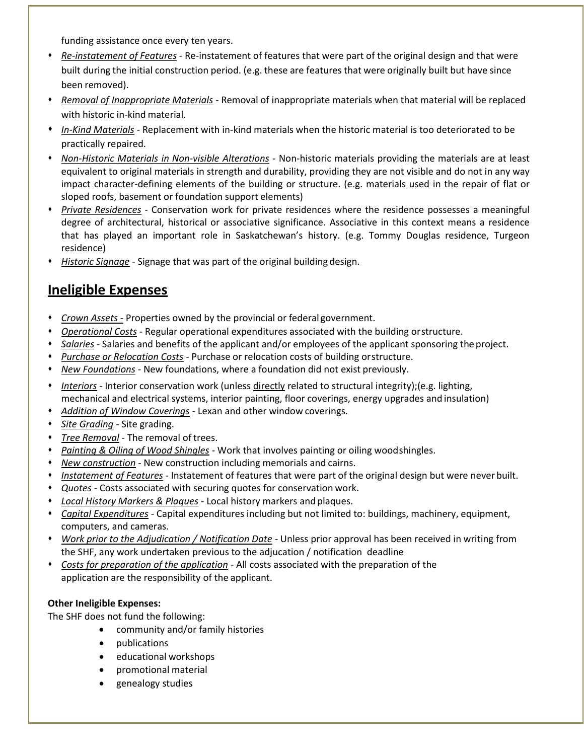funding assistance once every ten years.

- ⬧ *Re-instatement of Features* Re-instatement of features that were part of the original design and that were built during the initial construction period. (e.g. these are features that were originally built but have since been removed).
- ⬧ *Removal of Inappropriate Materials* Removal of inappropriate materials when that material will be replaced with historic in-kind material.
- ⬧ *In-Kind Materials -* Replacement with in-kind materials when the historic material is too deteriorated to be practically repaired.
- ⬧ *Non-Historic Materials in Non-visible Alterations -* Non-historic materials providing the materials are at least equivalent to original materials in strength and durability, providing they are not visible and do not in any way impact character-defining elements of the building or structure. (e.g. materials used in the repair of flat or sloped roofs, basement or foundation support elements)
- ⬧ *Private Residences* Conservation work for private residences where the residence possesses a meaningful degree of architectural, historical or associative significance. Associative in this context means a residence that has played an important role in Saskatchewan's history. (e.g. Tommy Douglas residence, Turgeon residence)
- ⬧ *Historic Signage* Signage that was part of the original building design.

# **Ineligible Expenses**

- ⬧ *Crown Assets -* Properties owned by the provincial or federal government.
- ⬧ *Operational Costs* Regular operational expenditures associated with the building orstructure.
- ⬧ *Salaries -* Salaries and benefits of the applicant and/or employees of the applicant sponsoring the project.
- **Purchase or Relocation Costs** Purchase or relocation costs of building orstructure.
- ⬧ *New Foundations -* New foundations, where a foundation did not exist previously.
- ⬧ *Interiors -* Interior conservation work (unless directly related to structural integrity);(e.g. lighting, mechanical and electrical systems, interior painting, floor coverings, energy upgrades and insulation)
- ⬧ *Addition of Window Coverings -* Lexan and other window coverings.
- ⬧ *Site Grading* Site grading.
- ⬧ *Tree Removal* The removal of trees.
- ⬧ *Painting & Oiling of Wood Shingles -* Work that involves painting or oiling woodshingles.
- ⬧ *New construction* New construction including memorials and cairns.
- ⬧ *Instatement of Features* Instatement of features that were part of the original design but were never built.
- ⬧ *Quotes* Costs associated with securing quotes for conservation work.
- ⬧ *Local History Markers & Plaques* Local history markers and plaques.
- ⬧ *Capital Expenditures* Capital expenditures including but not limited to: buildings, machinery, equipment, computers, and cameras.
- ⬧ *Work prior to the Adjudication / Notification Date -* Unless prior approval has been received in writing from the SHF, any work undertaken previous to the adjucation / notification deadline
- ⬧ *Costs for preparation of the application* All costs associated with the preparation of the application are the responsibility of the applicant.

### **Other Ineligible Expenses:**

The SHF does not fund the following:

- community and/or family histories
- publications
- educational workshops
- promotional material
- genealogy studies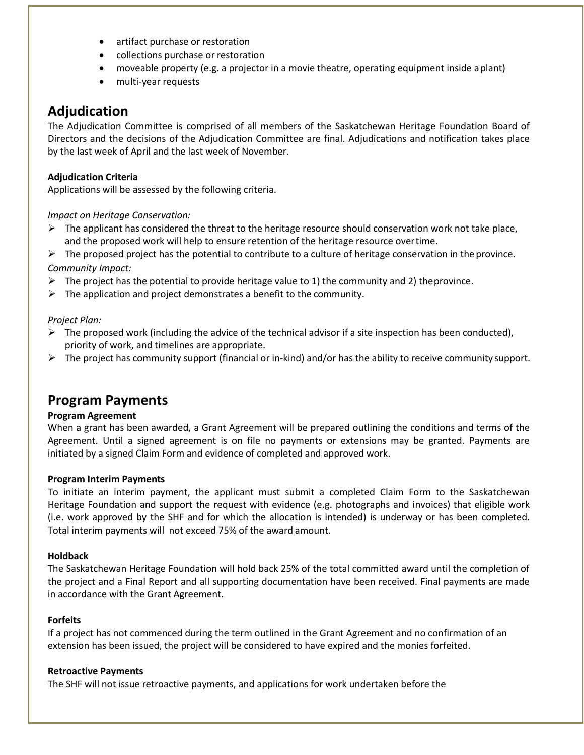- artifact purchase or restoration
- collections purchase or restoration
- moveable property (e.g. a projector in a movie theatre, operating equipment inside aplant)
- multi-year requests

## **Adjudication**

The Adjudication Committee is comprised of all members of the Saskatchewan Heritage Foundation Board of Directors and the decisions of the Adjudication Committee are final. Adjudications and notification takes place by the last week of April and the last week of November.

### **Adjudication Criteria**

Applications will be assessed by the following criteria.

### *Impact on Heritage Conservation:*

 $\triangleright$  The applicant has considered the threat to the heritage resource should conservation work not take place, and the proposed work will help to ensure retention of the heritage resource overtime.

 $\triangleright$  The proposed project has the potential to contribute to a culture of heritage conservation in the province. *Community Impact:*

- $\triangleright$  The project has the potential to provide heritage value to 1) the community and 2) the province.
- $\triangleright$  The application and project demonstrates a benefit to the community.

### *Project Plan:*

- $\triangleright$  The proposed work (including the advice of the technical advisor if a site inspection has been conducted), priority of work, and timelines are appropriate.
- ➢ The project has community support (financial or in-kind) and/or has the ability to receive community support.

## **Program Payments**

#### **Program Agreement**

When a grant has been awarded, a Grant Agreement will be prepared outlining the conditions and terms of the Agreement. Until a signed agreement is on file no payments or extensions may be granted. Payments are initiated by a signed Claim Form and evidence of completed and approved work.

#### **Program Interim Payments**

To initiate an interim payment, the applicant must submit a completed Claim Form to the Saskatchewan Heritage Foundation and support the request with evidence (e.g. photographs and invoices) that eligible work (i.e. work approved by the SHF and for which the allocation is intended) is underway or has been completed. Total interim payments will not exceed 75% of the award amount.

#### **Holdback**

The Saskatchewan Heritage Foundation will hold back 25% of the total committed award until the completion of the project and a Final Report and all supporting documentation have been received. Final payments are made in accordance with the Grant Agreement.

#### **Forfeits**

If a project has not commenced during the term outlined in the Grant Agreement and no confirmation of an extension has been issued, the project will be considered to have expired and the monies forfeited.

#### **Retroactive Payments**

The SHF will not issue retroactive payments, and applications for work undertaken before the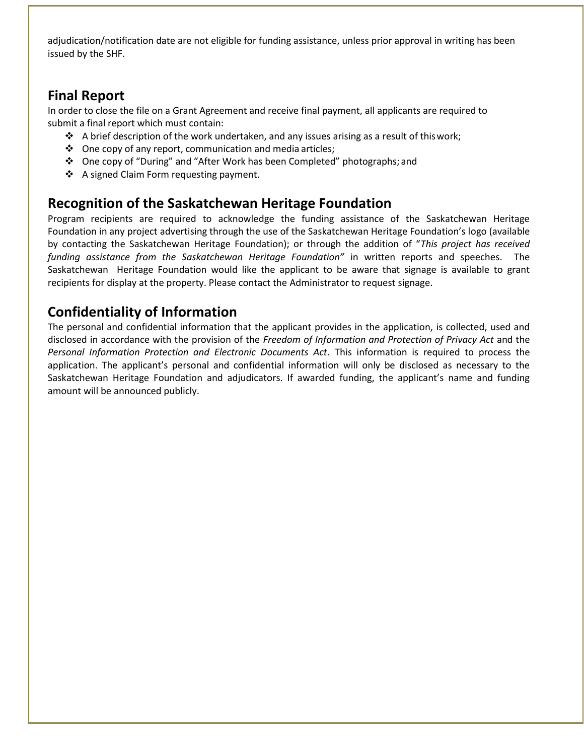adjudication/notification date are not eligible for funding assistance, unless prior approval in writing has been issued by the SHF.

# **Final Report**

In order to close the file on a Grant Agreement and receive final payment, all applicants are required to submit a final report which must contain:

- $\div$  A brief description of the work undertaken, and any issues arising as a result of this work;
- ❖ One copy of any report, communication and media articles;
- ❖ One copy of "During" and "After Work has been Completed" photographs; and
- ❖ A signed Claim Form requesting payment.

# **Recognition of the Saskatchewan Heritage Foundation**

Program recipients are required to acknowledge the funding assistance of the Saskatchewan Heritage Foundation in any project advertising through the use of the Saskatchewan Heritage Foundation's logo (available by contacting the Saskatchewan Heritage Foundation); or through the addition of "*This project has received funding assistance from the Saskatchewan Heritage Foundation"* in written reports and speeches. The Saskatchewan Heritage Foundation would like the applicant to be aware that signage is available to grant recipients for display at the property. Please contact the Administrator to request signage.

# **Confidentiality of Information**

The personal and confidential information that the applicant provides in the application, is collected, used and disclosed in accordance with the provision of the *Freedom of Information and Protection of Privacy Act* and the *Personal Information Protection and Electronic Documents Act*. This information is required to process the application. The applicant's personal and confidential information will only be disclosed as necessary to the Saskatchewan Heritage Foundation and adjudicators. If awarded funding, the applicant's name and funding amount will be announced publicly.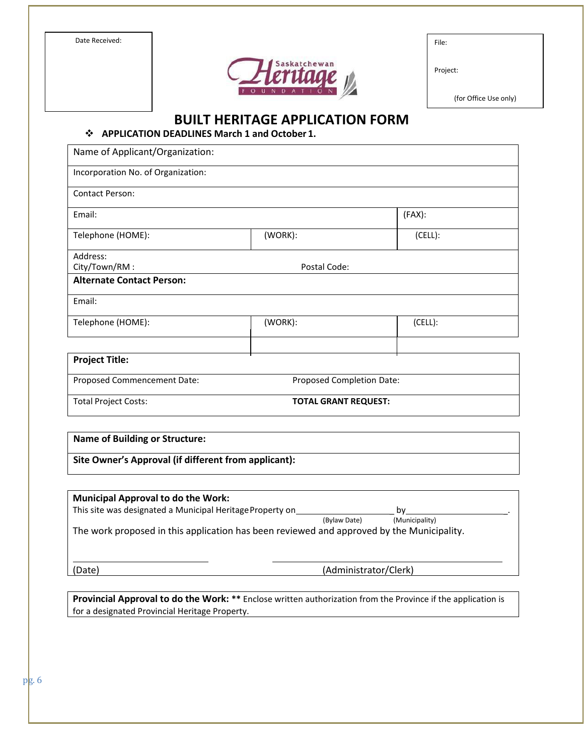Date Received:



|  | × |  |
|--|---|--|
|  |   |  |

Project:

(for Office Use only)

**BUILT HERITAGE APPLICATION FORM**

❖ **APPLICATION DEADLINES March 1 and October 1.**

| Name of Applicant/Organization:    |                             |         |  |
|------------------------------------|-----------------------------|---------|--|
| Incorporation No. of Organization: |                             |         |  |
| <b>Contact Person:</b>             |                             |         |  |
| Email:                             |                             | (FAX):  |  |
| Telephone (HOME):                  | (WORK):                     | (CELL): |  |
| Address:                           |                             |         |  |
| City/Town/RM:                      | Postal Code:                |         |  |
| <b>Alternate Contact Person:</b>   |                             |         |  |
| Email:                             |                             |         |  |
| Telephone (HOME):                  | (WORK):                     | (CELL): |  |
| <b>Project Title:</b>              |                             |         |  |
| Proposed Commencement Date:        | Proposed Completion Date:   |         |  |
| <b>Total Project Costs:</b>        | <b>TOTAL GRANT REQUEST:</b> |         |  |

**Name of Building or Structure:**

**Site Owner's Approval (if different from applicant):**

| <b>Municipal Approval to do the Work:</b>                                                 |                       |                |  |
|-------------------------------------------------------------------------------------------|-----------------------|----------------|--|
| This site was designated a Municipal Heritage Property on                                 |                       | b٧             |  |
|                                                                                           | (Bylaw Date)          | (Municipality) |  |
| The work proposed in this application has been reviewed and approved by the Municipality. |                       |                |  |
| Date)                                                                                     | (Administrator/Clerk) |                |  |

**Provincial Approval to do the Work: \*\*** Enclose written authorization from the Province if the application is for a designated Provincial Heritage Property.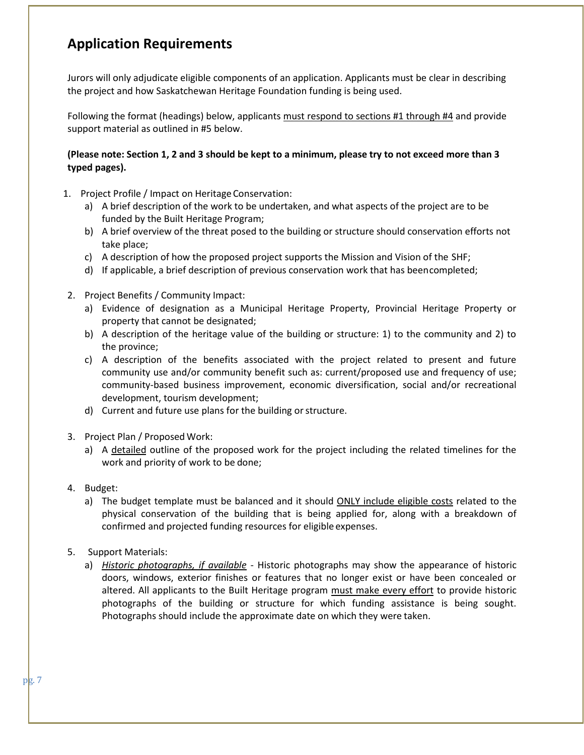# **Application Requirements**

Jurors will only adjudicate eligible components of an application. Applicants must be clear in describing the project and how Saskatchewan Heritage Foundation funding is being used.

Following the format (headings) below, applicants must respond to sections #1 through #4 and provide support material as outlined in #5 below.

### **(Please note: Section 1, 2 and 3 should be kept to a minimum, please try to not exceed more than 3 typed pages).**

- 1. Project Profile / Impact on Heritage Conservation:
	- a) A brief description of the work to be undertaken, and what aspects of the project are to be funded by the Built Heritage Program;
	- b) A brief overview of the threat posed to the building or structure should conservation efforts not take place;
	- c) A description of how the proposed project supports the Mission and Vision of the SHF;
	- d) If applicable, a brief description of previous conservation work that has beencompleted;
- 2. Project Benefits / Community Impact:
	- a) Evidence of designation as a Municipal Heritage Property, Provincial Heritage Property or property that cannot be designated;
	- b) A description of the heritage value of the building or structure: 1) to the community and 2) to the province;
	- c) A description of the benefits associated with the project related to present and future community use and/or community benefit such as: current/proposed use and frequency of use; community-based business improvement, economic diversification, social and/or recreational development, tourism development;
	- d) Current and future use plans for the building or structure.
- 3. Project Plan / Proposed Work:
	- a) A detailed outline of the proposed work for the project including the related timelines for the work and priority of work to be done;
- 4. Budget:
	- a) The budget template must be balanced and it should ONLY include eligible costs related to the physical conservation of the building that is being applied for, along with a breakdown of confirmed and projected funding resources for eligible expenses.
- 5. Support Materials:
	- a) *Historic photographs, if available* Historic photographs may show the appearance of historic doors, windows, exterior finishes or features that no longer exist or have been concealed or altered. All applicants to the Built Heritage program must make every effort to provide historic photographs of the building or structure for which funding assistance is being sought. Photographs should include the approximate date on which they were taken.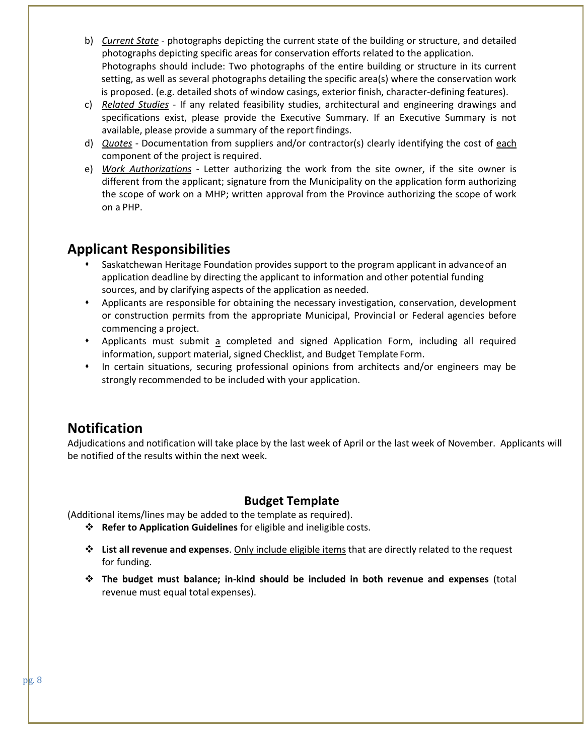- b) *Current State* photographs depicting the current state of the building or structure, and detailed photographs depicting specific areas for conservation efforts related to the application. Photographs should include: Two photographs of the entire building or structure in its current setting, as well as several photographs detailing the specific area(s) where the conservation work is proposed. (e.g. detailed shots of window casings, exterior finish, character-defining features).
- c) *Related Studies* If any related feasibility studies, architectural and engineering drawings and specifications exist, please provide the Executive Summary. If an Executive Summary is not available, please provide a summary of the report findings.
- d) *Quotes* Documentation from suppliers and/or contractor(s) clearly identifying the cost of each component of the project is required.
- e) *Work Authorizations* Letter authorizing the work from the site owner, if the site owner is different from the applicant; signature from the Municipality on the application form authorizing the scope of work on a MHP; written approval from the Province authorizing the scope of work on a PHP.

### **Applicant Responsibilities**

- Saskatchewan Heritage Foundation provides support to the program applicant in advance of an application deadline by directing the applicant to information and other potential funding sources, and by clarifying aspects of the application as needed.
- ⬧ Applicants are responsible for obtaining the necessary investigation, conservation, development or construction permits from the appropriate Municipal, Provincial or Federal agencies before commencing a project.
- ⬧ Applicants must submit a completed and signed Application Form, including all required information, support material, signed Checklist, and Budget Template Form.
- ⬧ In certain situations, securing professional opinions from architects and/or engineers may be strongly recommended to be included with your application.

## **Notification**

Adjudications and notification will take place by the last week of April or the last week of November. Applicants will be notified of the results within the next week.

### **Budget Template**

(Additional items/lines may be added to the template as required).

- ❖ **Refer to Application Guidelines** for eligible and ineligible costs.
- ❖ **List all revenue and expenses**. Only include eligible items that are directly related to the request for funding.
- ❖ **The budget must balance; in-kind should be included in both revenue and expenses** (total revenue must equal total expenses).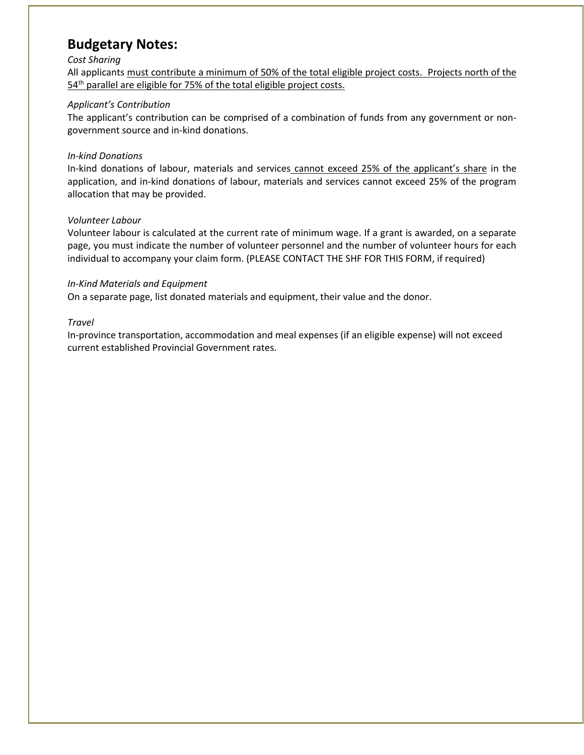### **Budgetary Notes:**

#### *Cost Sharing*

All applicants must contribute a minimum of 50% of the total eligible project costs. Projects north of the 54<sup>th</sup> parallel are eligible for 75% of the total eligible project costs.

### *Applicant's Contribution*

The applicant's contribution can be comprised of a combination of funds from any government or nongovernment source and in-kind donations.

#### *In-kind Donations*

In-kind donations of labour, materials and services cannot exceed 25% of the applicant's share in the application, and in-kind donations of labour, materials and services cannot exceed 25% of the program allocation that may be provided.

### *Volunteer Labour*

Volunteer labour is calculated at the current rate of minimum wage. If a grant is awarded, on a separate page, you must indicate the number of volunteer personnel and the number of volunteer hours for each individual to accompany your claim form. (PLEASE CONTACT THE SHF FOR THIS FORM, if required)

### *In-Kind Materials and Equipment*

On a separate page, list donated materials and equipment, their value and the donor.

#### *Travel*

In-province transportation, accommodation and meal expenses (if an eligible expense) will not exceed current established Provincial Government rates.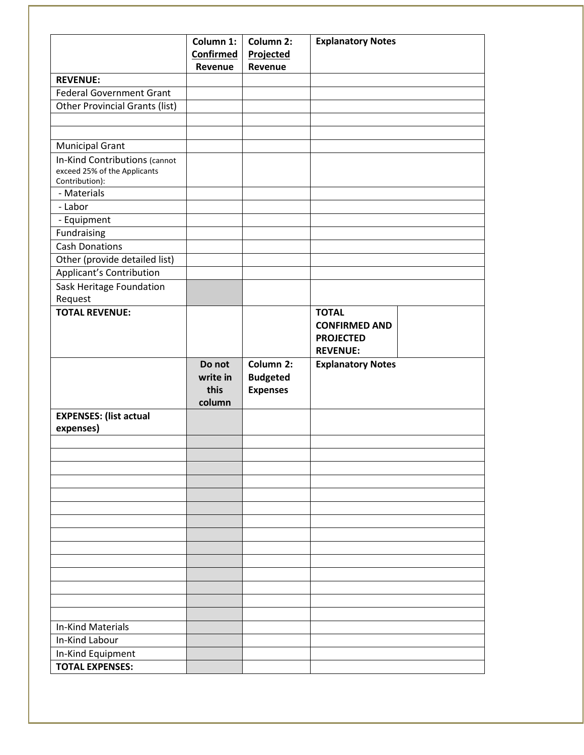|                                                               | Column 1: | Column 2:       | <b>Explanatory Notes</b> |  |
|---------------------------------------------------------------|-----------|-----------------|--------------------------|--|
|                                                               | Confirmed | Projected       |                          |  |
| <b>REVENUE:</b>                                               | Revenue   | Revenue         |                          |  |
| <b>Federal Government Grant</b>                               |           |                 |                          |  |
| <b>Other Provincial Grants (list)</b>                         |           |                 |                          |  |
|                                                               |           |                 |                          |  |
|                                                               |           |                 |                          |  |
| <b>Municipal Grant</b>                                        |           |                 |                          |  |
| In-Kind Contributions (cannot<br>exceed 25% of the Applicants |           |                 |                          |  |
| Contribution):<br>- Materials                                 |           |                 |                          |  |
|                                                               |           |                 |                          |  |
| - Labor                                                       |           |                 |                          |  |
| - Equipment                                                   |           |                 |                          |  |
| Fundraising                                                   |           |                 |                          |  |
| <b>Cash Donations</b>                                         |           |                 |                          |  |
| Other (provide detailed list)                                 |           |                 |                          |  |
| Applicant's Contribution                                      |           |                 |                          |  |
| Sask Heritage Foundation                                      |           |                 |                          |  |
| Request                                                       |           |                 |                          |  |
| <b>TOTAL REVENUE:</b>                                         |           |                 | <b>TOTAL</b>             |  |
|                                                               |           |                 | <b>CONFIRMED AND</b>     |  |
|                                                               |           |                 | <b>PROJECTED</b>         |  |
|                                                               |           |                 | <b>REVENUE:</b>          |  |
|                                                               | Do not    | Column 2:       | <b>Explanatory Notes</b> |  |
|                                                               | write in  | <b>Budgeted</b> |                          |  |
|                                                               | this      | <b>Expenses</b> |                          |  |
|                                                               | column    |                 |                          |  |
| <b>EXPENSES: (list actual</b><br>expenses)                    |           |                 |                          |  |
|                                                               |           |                 |                          |  |
|                                                               |           |                 |                          |  |
|                                                               |           |                 |                          |  |
|                                                               |           |                 |                          |  |
|                                                               |           |                 |                          |  |
|                                                               |           |                 |                          |  |
|                                                               |           |                 |                          |  |
|                                                               |           |                 |                          |  |
|                                                               |           |                 |                          |  |
|                                                               |           |                 |                          |  |
|                                                               |           |                 |                          |  |
|                                                               |           |                 |                          |  |
|                                                               |           |                 |                          |  |
|                                                               |           |                 |                          |  |
| <b>In-Kind Materials</b>                                      |           |                 |                          |  |
| In-Kind Labour                                                |           |                 |                          |  |
| In-Kind Equipment                                             |           |                 |                          |  |
| <b>TOTAL EXPENSES:</b>                                        |           |                 |                          |  |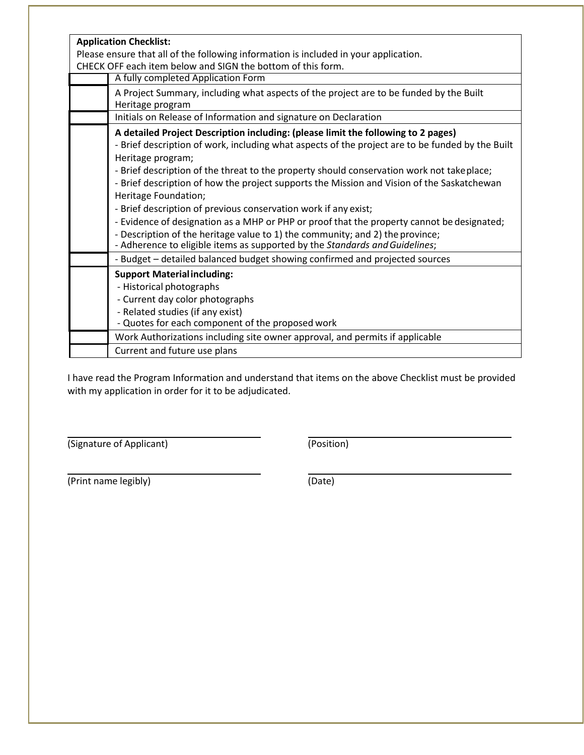| <b>Application Checklist:</b>                                                                              |  |  |  |  |
|------------------------------------------------------------------------------------------------------------|--|--|--|--|
| Please ensure that all of the following information is included in your application.                       |  |  |  |  |
| CHECK OFF each item below and SIGN the bottom of this form.                                                |  |  |  |  |
| A fully completed Application Form                                                                         |  |  |  |  |
| A Project Summary, including what aspects of the project are to be funded by the Built<br>Heritage program |  |  |  |  |
| Initials on Release of Information and signature on Declaration                                            |  |  |  |  |
| A detailed Project Description including: (please limit the following to 2 pages)                          |  |  |  |  |
| - Brief description of work, including what aspects of the project are to be funded by the Built           |  |  |  |  |
| Heritage program;                                                                                          |  |  |  |  |
| - Brief description of the threat to the property should conservation work not takeplace;                  |  |  |  |  |
| - Brief description of how the project supports the Mission and Vision of the Saskatchewan                 |  |  |  |  |
| Heritage Foundation;                                                                                       |  |  |  |  |
| - Brief description of previous conservation work if any exist;                                            |  |  |  |  |
| - Evidence of designation as a MHP or PHP or proof that the property cannot be designated;                 |  |  |  |  |
| - Description of the heritage value to 1) the community; and 2) the province;                              |  |  |  |  |
| - Adherence to eligible items as supported by the Standards and Guidelines;                                |  |  |  |  |
| - Budget - detailed balanced budget showing confirmed and projected sources                                |  |  |  |  |
| <b>Support Material including:</b>                                                                         |  |  |  |  |
| - Historical photographs                                                                                   |  |  |  |  |
| - Current day color photographs                                                                            |  |  |  |  |
| - Related studies (if any exist)                                                                           |  |  |  |  |
| - Quotes for each component of the proposed work                                                           |  |  |  |  |
| Work Authorizations including site owner approval, and permits if applicable                               |  |  |  |  |
| Current and future use plans                                                                               |  |  |  |  |

I have read the Program Information and understand that items on the above Checklist must be provided with my application in order for it to be adjudicated.

(Signature of Applicant) (Position)

(Print name legibly) (Date)